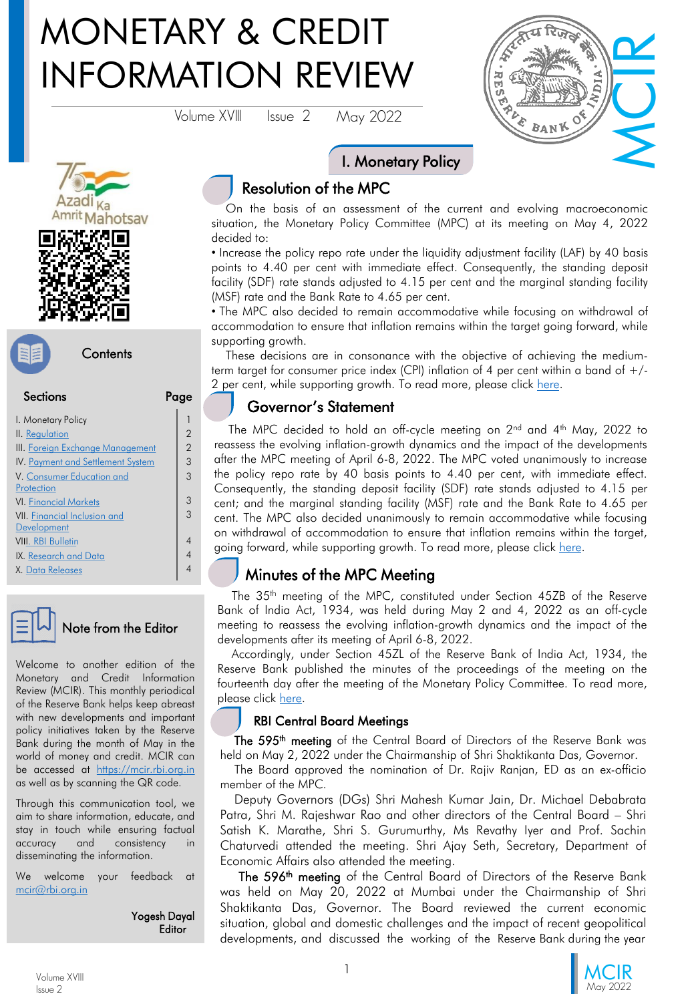# MONETARY & CREDIT INFORMATION REVIEW

Volume XVIII Issue 2 May 2022



# ahotsay





| <b>Sections</b>                     |                |
|-------------------------------------|----------------|
| I. Monetary Policy                  |                |
| II. Regulation                      | $\overline{2}$ |
| III. Foreign Exchange Management    | $\overline{2}$ |
| IV. Payment and Settlement System   | 3              |
| V. Consumer Education and           | 3              |
| Protection                          |                |
| <b>VI. Financial Markets</b>        | 3              |
| <b>VII. Financial Inclusion and</b> | 3              |
| Development                         |                |
| <b>VIII. RBI Bulletin</b>           |                |
| IX. Research and Data               |                |
| <b>X. Data Releases</b>             |                |



#### Note from the Editor

Welcome to another edition of the Monetary and Credit Information Review (MCIR). This monthly periodical of the Reserve Bank helps keep abreast with new developments and important policy initiatives taken by the Reserve Bank during the month of May in the world of money and credit. MCIR can be accessed at [https://mcir.rbi.org.in](https://mcir.rbi.org.in/) as well as by scanning the QR code.

Through this communication tool, we aim to share information, educate, and stay in touch while ensuring factual accuracy and consistency in disseminating the information.

We welcome your feedback at [mcir@rbi.org.in](mailto:mcir@rbi.org.in)

> Yogesh Dayal **Editor**

Resolution of the MPC

On the basis of an assessment of the current and evolving macroeconomic situation, the Monetary Policy Committee (MPC) at its meeting on May 4, 2022 decided to:

I. Monetary Policy

• Increase the policy repo rate under the liquidity adjustment facility (LAF) by 40 basis points to 4.40 per cent with immediate effect. Consequently, the standing deposit facility (SDF) rate stands adjusted to 4.15 per cent and the marginal standing facility (MSF) rate and the Bank Rate to 4.65 per cent.

• The MPC also decided to remain accommodative while focusing on withdrawal of accommodation to ensure that inflation remains within the target going forward, while supporting growth.

These decisions are in consonance with the objective of achieving the mediumterm target for consumer price index (CPI) inflation of 4 per cent within a band of +/ 2 per cent, while supporting growth. To read more, please click [here.](https://www.rbi.org.in/Scripts/BS_PressReleaseDisplay.aspx?prid=53652)

# Governor's Statement

The MPC decided to hold an off-cycle meeting on  $2^{\text{nd}}$  and  $4^{\text{th}}$  May, 2022 to reassess the evolving inflation-growth dynamics and the impact of the developments after the MPC meeting of April 6-8, 2022. The MPC voted unanimously to increase the policy repo rate by 40 basis points to 4.40 per cent, with immediate effect. Consequently, the standing deposit facility (SDF) rate stands adjusted to 4.15 per cent; and the marginal standing facility (MSF) rate and the Bank Rate to 4.65 per cent. The MPC also decided unanimously to remain accommodative while focusing on withdrawal of accommodation to ensure that inflation remains within the target, going forward, while supporting growth. To read more, please click [here.](https://www.rbi.org.in/Scripts/BS_PressReleaseDisplay.aspx?prid=53651)

# Minutes of the MPC Meeting

The 35<sup>th</sup> meeting of the MPC, constituted under Section 45ZB of the Reserve Bank of India Act, 1934, was held during May 2 and 4, 2022 as an off-cycle meeting to reassess the evolving inflation-growth dynamics and the impact of the developments after its meeting of April 6-8, 2022.

Accordingly, under Section 45ZL of the Reserve Bank of India Act, 1934, the Reserve Bank published the minutes of the proceedings of the meeting on the fourteenth day after the meeting of the Monetary Policy Committee. To read more, please click [here](https://www.rbi.org.in/Scripts/BS_PressReleaseDisplay.aspx?prid=53728).

#### RBI Central Board Meetings

The 595<sup>th</sup> meeting of the Central Board of Directors of the Reserve Bank was held on May 2, 2022 under the Chairmanship of Shri Shaktikanta Das, Governor.

The Board approved the nomination of Dr. Rajiv Ranjan, ED as an ex-officio member of the MPC.

Deputy Governors (DGs) Shri Mahesh Kumar Jain, Dr. Michael Debabrata Patra, Shri M. Rajeshwar Rao and other directors of the Central Board – Shri Satish K. Marathe, Shri S. Gurumurthy, Ms Revathy Iyer and Prof. Sachin Chaturvedi attended the meeting. Shri Ajay Seth, Secretary, Department of Economic Affairs also attended the meeting.

The 596<sup>th</sup> meeting of the Central Board of Directors of the Reserve Bank was held on May 20, 2022 at Mumbai under the Chairmanship of Shri Shaktikanta Das, Governor. The Board reviewed the current economic situation, global and domestic challenges and the impact of recent geopolitical developments, and discussed the working of the Reserve Bank during the year

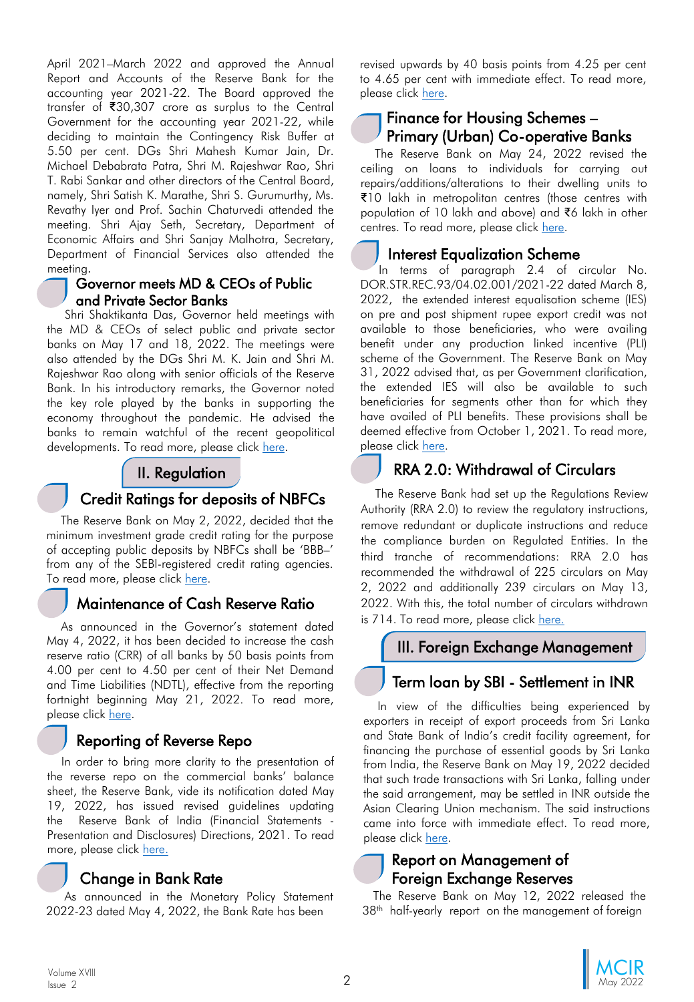<span id="page-1-0"></span>April 2021–March 2022 and approved the Annual Report and Accounts of the Reserve Bank for the accounting year 2021-22. The Board approved the transfer of ₹30,307 crore as surplus to the Central Government for the accounting year 2021-22, while deciding to maintain the Contingency Risk Buffer at 5.50 per cent. DGs Shri Mahesh Kumar Jain, Dr. Michael Debabrata Patra, Shri M. Rajeshwar Rao, Shri T. Rabi Sankar and other directors of the Central Board, namely, Shri Satish K. Marathe, Shri S. Gurumurthy, Ms. Revathy Iyer and Prof. Sachin Chaturvedi attended the meeting. Shri Ajay Seth, Secretary, Department of Economic Affairs and Shri Sanjay Malhotra, Secretary, Department of Financial Services also attended the meeting.

#### Governor meets MD & CEOs of Public and Private Sector Banks

Shri Shaktikanta Das, Governor held meetings with the MD & CEOs of select public and private sector banks on May 17 and 18, 2022. The meetings were also attended by the DGs Shri M. K. Jain and Shri M. Rajeshwar Rao along with senior officials of the Reserve Bank. In his introductory remarks, the Governor noted the key role played by the banks in supporting the economy throughout the pandemic. He advised the banks to remain watchful of the recent geopolitical developments. To read more, please click [here.](https://www.rbi.org.in/Scripts/BS_PressReleaseDisplay.aspx?prid=53726)

#### II. Regulation

#### Credit Ratings for deposits of NBFCs

The Reserve Bank on May 2, 2022, decided that the minimum investment grade credit rating for the purpose of accepting public deposits by NBFCs shall be 'BBB–' from any of the SEBI-registered credit rating agencies. To read more, please click [here](https://www.rbi.org.in/Scripts/NotificationUser.aspx?Id=12304&Mode=0).

#### Maintenance of Cash Reserve Ratio

As announced in the Governor's statement dated May 4, 2022, it has been decided to increase the cash reserve ratio (CRR) of all banks by 50 basis points from 4.00 per cent to 4.50 per cent of their Net Demand and Time Liabilities (NDTL), effective from the reporting fortnight beginning May 21, 2022. To read more, please click [here](https://www.rbi.org.in/Scripts/NotificationUser.aspx?Id=12313&Mode=0).

# Reporting of Reverse Repo

In order to bring more clarity to the presentation of the reverse repo on the commercial banks' balance sheet, the Reserve Bank, vide its notification dated May 19, 2022, has issued revised guidelines updating the Reserve Bank of India (Financial Statements - Presentation and Disclosures) Directions, 2021. To read more, please click [here.](https://rbidocs.rbi.org.in/rdocs/notification/PDFs/NOTI55415D185D2D5E4E06A30BEDC748C9E783.PDF)

#### Change in Bank Rate

As announced in the Monetary Policy Statement 2022-23 dated May 4, 2022, the Bank Rate has been

revised upwards by 40 basis points from 4.25 per cent to 4.65 per cent with immediate effect. To read more, please click [here.](https://www.rbi.org.in/Scripts/NotificationUser.aspx?Id=12312&Mode=0)

#### Finance for Housing Schemes – Primary (Urban) Co-operative Banks

The Reserve Bank on May 24, 2022 revised the ceiling on loans to individuals for carrying out repairs/additions/alterations to their dwelling units to ₹10 lakh in metropolitan centres (those centres with population of 10 lakh and above) and ₹6 lakh in other centres. To read more, please click [here](https://www.rbi.org.in/scripts/FS_Notification.aspx?Id=12323&fn=2755&Mode=0).

#### Interest Equalization Scheme

In terms of paragraph 2.4 of circular No. DOR.STR.REC.93/04.02.001/2021-22 dated March 8, 2022, the extended interest equalisation scheme (IES) on pre and post shipment rupee export credit was not available to those beneficiaries, who were availing benefit under any production linked incentive (PLI) scheme of the Government. The Reserve Bank on May 31, 2022 advised that, as per Government clarification, the extended IES will also be available to such beneficiaries for segments other than for which they have availed of PLI benefits. These provisions shall be deemed effective from October 1, 2021. To read more, please click [here](https://www.rbi.org.in/scripts/FS_Notification.aspx?Id=12327&fn=2755&Mode=0).

# RRA 2.0: Withdrawal of Circulars

The Reserve Bank had set up the Regulations Review Authority (RRA 2.0) to review the regulatory instructions, remove redundant or duplicate instructions and reduce the compliance burden on Regulated Entities. In the third tranche of recommendations: RRA 2.0 has recommended the withdrawal of 225 circulars on May 2, 2022 and additionally 239 circulars on May 13, 2022. With this, the total number of circulars withdrawn is 714. To read more, please click [here.](https://www.rbi.org.in/scripts/FS_PressRelease.aspx?prid=53702&fn=2)

#### III. Foreign Exchange Management

# Term loan by SBI - Settlement in INR

In view of the difficulties being experienced by exporters in receipt of export proceeds from Sri Lanka and State Bank of India's credit facility agreement, for financing the purchase of essential goods by Sri Lanka from India, the Reserve Bank on May 19, 2022 decided that such trade transactions with Sri Lanka, falling under the said arrangement, may be settled in INR outside the Asian Clearing Union mechanism. The said instructions came into force with immediate effect. To read more, please click [here.](https://www.rbi.org.in/scripts/FS_Notification.aspx?Id=12320&fn=5&Mode=0)

#### Report on Management of Foreign Exchange Reserves

The Reserve Bank on May 12, 2022 released the 38<sup>th</sup> half-yearly report on the management of foreign

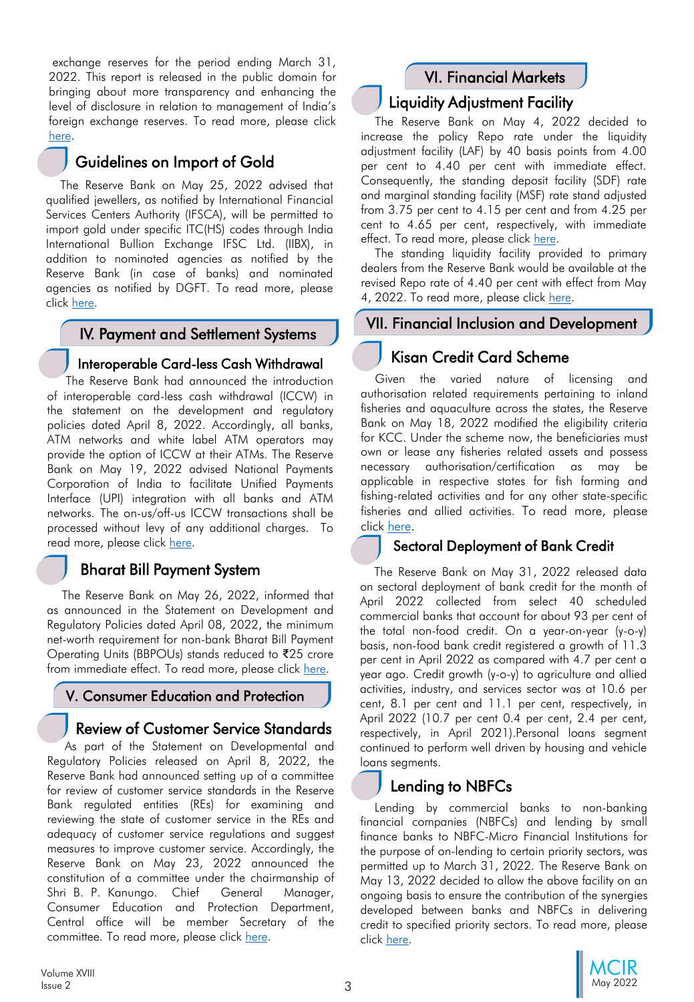<span id="page-2-0"></span>exchange reserves for the period ending March 31, 2022. This report is released in the public domain for bringing about more transparency and enhancing the level of disclosure in relation to management of India's foreign exchange reserves. To read more, please click [here](https://www.rbi.org.in/scripts/FS_PressRelease.aspx?prid=53698&fn=2767).

# Guidelines on Import of Gold

The Reserve Bank on May 25, 2022 advised that qualified jewellers, as notified by International Financial Services Centers Authority (IFSCA), will be permitted to import gold under specific ITC(HS) codes through India International Bullion Exchange IFSC Ltd. (IIBX), in addition to nominated agencies as notified by the Reserve Bank (in case of banks) and nominated agencies as notified by DGFT. To read more, please click [here](https://www.rbi.org.in/scripts/FS_Notification.aspx?Id=12324&fn=5&Mode=0).

#### IV. Payment and Settlement Systems

#### Interoperable Card-less Cash Withdrawal

The Reserve Bank had announced the introduction of interoperable card-less cash withdrawal (ICCW) in the statement on the development and regulatory policies dated April 8, 2022. Accordingly, all banks, ATM networks and white label ATM operators may provide the option of ICCW at their ATMs. The Reserve Bank on May 19, 2022 advised National Payments Corporation of India to facilitate Unified Payments Interface (UPI) integration with all banks and ATM networks. The on-us/off-us ICCW transactions shall be processed without levy of any additional charges. To read more, please click [here](https://www.rbi.org.in/scripts/FS_Notification.aspx?Id=12321&fn=9&Mode=0).

#### Bharat Bill Payment System

The Reserve Bank on May 26, 2022, informed that as announced in the Statement on Development and Regulatory Policies dated April 08, 2022, the minimum net-worth requirement for non-bank Bharat Bill Payment Operating Units (BBPOUs) stands reduced to ₹25 crore from immediate effect. To read more, please click [here.](https://www.rbi.org.in/scripts/FS_Notification.aspx?Id=12325&fn=9&Mode=0)

#### V. Consumer Education and Protection

# Review of Customer Service Standards

As part of the Statement on Developmental and Regulatory Policies released on April 8, 2022, the Reserve Bank had announced setting up of a committee for review of customer service standards in the Reserve Bank regulated entities (REs) for examining and reviewing the state of customer service in the REs and adequacy of customer service regulations and suggest measures to improve customer service. Accordingly, the Reserve Bank on May 23, 2022 announced the constitution of a committee under the chairmanship of Shri B. P. Kanungo. Chief General Manager, Consumer Education and Protection Department, Central office will be member Secretary of the committee. To read more, please click [here](https://www.rbi.org.in/Scripts/BS_PressReleaseDisplay.aspx?prid=53750).

# VI. Financial Markets

#### Liquidity Adjustment Facility

The Reserve Bank on May 4, 2022 decided to increase the policy Repo rate under the liquidity adjustment facility (LAF) by 40 basis points from 4.00 per cent to 4.40 per cent with immediate effect. Consequently, the standing deposit facility (SDF) rate and marginal standing facility (MSF) rate stand adjusted from 3.75 per cent to 4.15 per cent and from 4.25 per cent to 4.65 per cent, respectively, with immediate effect. To read more, please click [here.](https://www.rbi.org.in/scripts/FS_Notification.aspx?Id=12309&fn=6&Mode=0)

The standing liquidity facility provided to primary dealers from the Reserve Bank would be available at the revised Repo rate of 4.40 per cent with effect from May 4, 2022. To read more, please click [here.](https://www.rbi.org.in/scripts/FS_Notification.aspx?Id=12311&fn=6&Mode=0)

#### VII. Financial Inclusion and Development

# Kisan Credit Card Scheme

Given the varied nature of licensing and authorisation related requirements pertaining to inland fisheries and aquaculture across the states, the Reserve Bank on May 18, 2022 modified the eligibility criteria for KCC. Under the scheme now, the beneficiaries must own or lease any fisheries related assets and possess necessary authorisation/certification as may be applicable in respective states for fish farming and fishing-related activities and for any other state-specific fisheries and allied activities. To read more, please click [here.](https://www.rbi.org.in/scripts/FS_Notification.aspx?Id=12318&fn=2754&Mode=0)

#### Sectoral Deployment of Bank Credit

The Reserve Bank on May 31, 2022 released data on sectoral deployment of bank credit for the month of April 2022 collected from select 40 scheduled commercial banks that account for about 93 per cent of the total non-food credit. On a year-on-year (y-o-y) basis, non-food bank credit registered a growth of 11.3 per cent in April 2022 as compared with 4.7 per cent a year ago. Credit growth (y-o-y) to agriculture and allied activities, industry, and services sector was at 10.6 per cent, 8.1 per cent and 11.1 per cent, respectively, in April 2022 (10.7 per cent 0.4 per cent, 2.4 per cent, respectively, in April 2021).Personal loans segment continued to perform well driven by housing and vehicle loans segments.

# Lending to NBFCs

Lending by commercial banks to non-banking financial companies (NBFCs) and lending by small finance banks to NBFC-Micro Financial Institutions for the purpose of on-lending to certain priority sectors, was permitted up to March 31, 2022. The Reserve Bank on May 13, 2022 decided to allow the above facility on an ongoing basis to ensure the contribution of the synergies developed between banks and NBFCs in delivering credit to specified priority sectors. To read more, please click [here](https://www.rbi.org.in/scripts/FS_Notification.aspx?Id=12317&fn=2754&Mode=0).